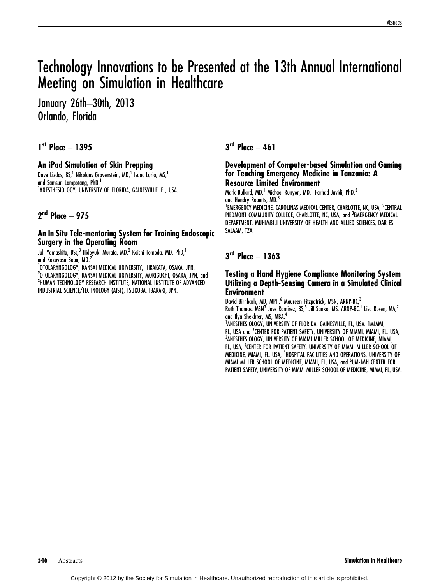# Technology Innovations to be Presented at the 13th Annual International Meeting on Simulation in Healthcare

January 26th-30th, 2013 Orlando, Florida

 $1<sup>st</sup>$  Place  $-1395$ 

#### An iPad Simulation of Skin Prepping

Dave Lizdas, BS,<sup>1</sup> Nikolaus Gravenstein, MD,<sup>1</sup> Isaac Luria, MS,<sup>1</sup> and Samsun Lampotang, PhD.<sup>1</sup> 1 ANESTHESIOLOGY, UNIVERSITY OF FLORIDA, GAINESVILLE, FL, USA.

### $2<sup>nd</sup>$  Place  $-975$

#### An In Situ Tele-mentoring System for Training Endoscopic Surgery in the Operating Room

Juli Yamashita, BSc,<sup>3</sup> Hideyuki Murata, MD,<sup>2</sup> Koichi Tomoda, MD, PhD,<sup>1</sup> and Kazuyasu Baba, MD.<sup>2</sup>

 OTOLARYNGOLOGY, KANSAI MEDICAL UNIVERSITY, HIRAKATA, OSAKA, JPN, OTOLARYNGOLOGY, KANSAI MEDICAL UNIVERSITY, MORIGUCHI, OSAKA, JPN, and HUMAN TECHNOLOGY RESEARCH INSTITUTE, NATIONAL INSTITUTE OF ADVANCED INDUSTRIAL SCIENCE/TECHNOLOGY (AIST), TSUKUBA, IBARAKI, JPN.

# $3<sup>rd</sup>$  Place  $-461$

#### Development of Computer-based Simulation and Gaming for Teaching Emergency Medicine in Tanzania: A Resource Limited Environment

Mark Bullard, MD,<sup>1</sup> Michael Runyon, MD,<sup>1</sup> Farhad Javidi, PhD,<sup>2</sup> and Hendry Roberts, MD.<sup>3</sup>

<sup>1</sup>EMERGENCY MEDICINE, CAROLINAS MEDICAL CENTER, CHARLOTTE, NC, USA, <sup>2</sup>CENTRAL PIEDMONT COMMUNITY COLLEGE, CHARLOTTE, NC, USA, and <sup>3</sup>EMERGENCY MEDICAL DEPARTMENT, MUHIMBILI UNIVERSITY OF HEALTH AND ALLIED SCIENCES, DAR ES SALAAM, TZA.

## $3<sup>rd</sup>$  Place  $-1363$

#### Testing a Hand Hygiene Compliance Monitoring System Utilizing a Depth-Sensing Camera in a Simulated Clinical Environment

David Birnbach, MD, MPH,<sup>6</sup> Maureen Fitzpatrick, MSN, ARNP-BC,<sup>3</sup> Ruth Thomas, MSN<sup>3</sup> Jose Ramirez, BS,<sup>5</sup> Jill Sanko, MS, ARNP-BC,<sup>1</sup> Lisa Rosen, MA,<sup>2</sup> and Ilya Shekhter, MS, MBA.4

1 ANESTHESIOLOGY, UNIVERSITY OF FLORIDA, GAINESVILLE, FL, USA. 1MIAMI, FL, USA and <sup>2</sup> CENTER FOR PATIENT SAFETY, UNIVERSITY OF MIAMI, MIAMI, FL, USA, 3 ANESTHESIOLOGY, UNIVERSITY OF MIAMI MILLER SCHOOL OF MEDICINE, MIAMI, FL, USA, <sup>4</sup> CENTER FOR PATIENT SAFETY, UNIVERSITY OF MIAMI MILLER SCHOOL OF MEDICINE, MIAMI, FL, USA, <sup>5</sup>HOSPITAL FACILITIES AND OPERATIONS, UNIVERSITY OF MIAMI MILLER SCHOOL OF MEDICINE, MIAMI, FL, USA, and <sup>6</sup>UM-JMH CENTER FOR PATIENT SAFETY, UNIVERSITY OF MIAMI MILLER SCHOOL OF MEDICINE, MIAMI, FL, USA.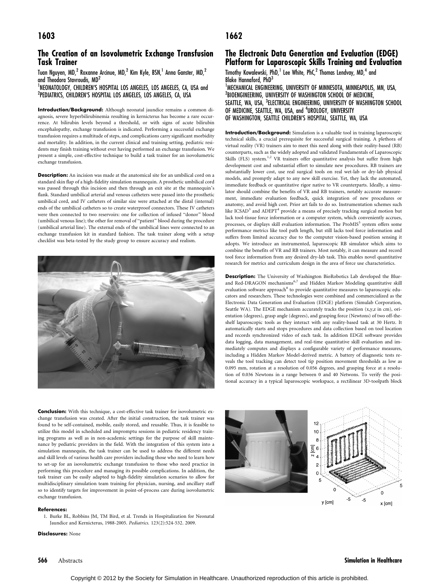#### 1603

#### The Creation of an Isovolumetric Exchange Transfusion Task Trainer

Tuan Nguyen, MD,<sup>2</sup> Roxanne Arcinue, MD,<sup>2</sup> Kim Kyle, BSN,<sup>1</sup> Anna Ganster, MD,<sup>2</sup> and Theodora Stavroudis, MD<sup>2</sup>

1 NEONATOLOGY, CHILDREN'S HOSPITAL LOS ANGELES, LOS ANGELES, CA, USA and 2 PEDIATRICS, CHILDREN'S HOSPITAL LOS ANGELES, LOS ANGELES, CA, USA

Introduction/Background: Although neonatal jaundice remains a common diagnosis, severe hyperbilirubinemia resulting in kernicterus has become a rare occurrence. At bilirubin levels beyond a threshold, or with signs of acute bilirubin encephalopathy, exchange transfusion is indicated. Performing a successful exchange transfusion requires a multitude of steps, and complications carry significant morbidity and mortality. In addition, in the current clinical and training setting, pediatric residents may finish training without ever having performed an exchange transfusion. We present a simple, cost-effective technique to build a task trainer for an isovolumetric exchange transfusion.

**Description:** An incision was made at the anatomical site for an umbilical cord on a standard skin flap of a high-fidelity simulation mannequin. A prosthetic umbilical cord was passed through this incision and then through an exit site at the mannequin's flank. Standard umbilical arterial and venous catheters were passed into the prosthetic umbilical cord, and IV catheters of similar size were attached at the distal (internal) ends of the umbilical catheters so to create waterproof connectors. These IV catheters were then connected to two reservoirs: one for collection of infused "donor" blood (umbilical venous line); the other for removal of "patient" blood during the procedure (umbilical arterial line). The external ends of the umbilical lines were connected to an exchange transfusion kit in standard fashion. The task trainer along with a setup checklist was beta-tested by the study group to ensure accuracy and realism.



Conclusion: With this technique, a cost-effective task trainer for isovolumetric exchange transfusion was created. After the initial construction, the task trainer was found to be self-contained, mobile, easily stored, and reusable. Thus, it is feasible to utilize this model in scheduled and impromptu sessions in pediatric residency training programs as well as in non-academic settings for the purpose of skill maintenance by pediatric providers in the field. With the integration of this system into a simulation mannequin, the task trainer can be used to address the different needs and skill levels of various health care providers including those who need to learn how to set-up for an isovolumetric exchange transfusion to those who need practice in performing this procedure and managing its possible complications. In addition, the task trainer can be easily adapted to high-fidelity simulation scenarios to allow for multidisciplinary simulation team training for physician, nursing, and ancillary staff so to identify targets for improvement in point-of-process care during isovolumetric exchange transfusion.

#### References:

1. Burke BL, Robbins JM, TM Bird, et al. Trends in Hospitalization for Neonatal Jaundice and Kernicterus, 1988-2005. Pediatrics. 123(2):524-532. 2009.

Disclosures: None

### The Electronic Data Generation and Evaluation (EDGE) Platform for Laparoscopic Skills Training and Evaluation

Timothy Kowalewski, PhD, $1$  Lee White, PhC, $2$  Thomas Lendvay, MD, $4$  and Blake Hannaford, PhD<sup>3</sup>

1 MECHANICAL ENGINEERING, UNIVERSITY OF MINNESOTA, MINNEAPOLIS, MN, USA, 2 BIOENGINEERING, UNIVERSITY OF WASHINGTON SCHOOL OF MEDICINE, SEATTLE, WA, USA, <sup>3</sup>ELECTRICAL ENGINEERING, UNIVERSITY OF WASHINGTON SCHOOL OF MEDICINE, SEATTLE, WA, USA, and <sup>4</sup>UROLOGY, UNIVERSITY OF WASHINGTON, SEATTLE CHILDREN'S HOSPITAL, SEATTLE, WA, USA

Introduction/Background: Simulation is a valuable tool in training laparoscopic technical skills, a crucial prerequisite for successful surgical training. A plethora of virtual reality (VR) trainers aim to meet this need along with their reality-based (RB) counterparts, such as the widely adopted and validated Fundamentals of Laparoscopic Skills (FLS) system.<sup>1,2</sup> VR trainers offer quantitative analysis but suffer from high development cost and substantial effort to simulate new procedures. RB trainers are substantially lower cost, use real surgical tools on real wet-lab or dry-lab physical models, and promptly adapt to any new skill exercise. Yet, they lack the automated, immediate feedback or quantitative rigor native to VR counterparts. Ideally, a simulator should combine the benefits of VR and RB trainers, notably accurate measurement, immediate evaluation feedback, quick integration of new procedures or anatomy, and avoid high cost. Prior art fails to do so. Instrumentation schemes such like ICSAD<sup>3</sup> and ADEPT<sup>4</sup> provide a means of precisely tracking surgical motion but lack tool-tissue force information or a computer system, which conveniently accrues, processes, or displays skill evaluation information. The ProMIS<sup>5</sup> system offers some performance metrics like tool path length, but still lacks tool force information and suffers from limited accuracy due to the computer vision-based position sensing it adopts. We introduce an instrumented, laparoscopic RB simulator which aims to combine the benefits of VR and RB trainers. Most notably, it can measure and record tool force information from any desired dry-lab task. This enables novel quantitative research for metrics and curriculum design in the area of force use characteristics.

Description: The University of Washington BioRobotics Lab developed the Blueand Red-DRAGON mechanisms  $^{6,7}$  and Hidden Markov Modeling quantitative skill evaluation software approach<sup>8</sup> to provide quantitative measures to laparoscopic educators and researchers. These technologies were combined and commercialized as the Electronic Data Generation and Evaluation (EDGE) platform (Simulab Corporation, Seattle WA). The EDGE mechanism accurately tracks the position (x,y,z in cm), orientation (degrees), grasp angle (degrees), and grasping force (Newtons) of two off-theshelf laparoscopic tools as they interact with any reality-based task at 30 Hertz. It automatically starts and stops procedures and data collection based on tool location and records synchronized video of each task. In addition EDGE software provides data logging, data management, and real-time quantitative skill evaluation and immediately computes and displays a configurable variety of performance measures, including a Hidden Markov Model-derived metric. A battery of diagnostic tests reveals the tool tracking can detect tool tip position movement thresholds as low as 0.095 mm, rotation at a resolution of 0.056 degrees, and grasping force at a resolution of 0.036 Newtons in a range between 0 and 40 Netwons. To verify the positional accuracy in a typical laparoscopic workspace, a rectilinear 3D-toolpath block





#### **566** Abstracts **Simulation in Healthcare**